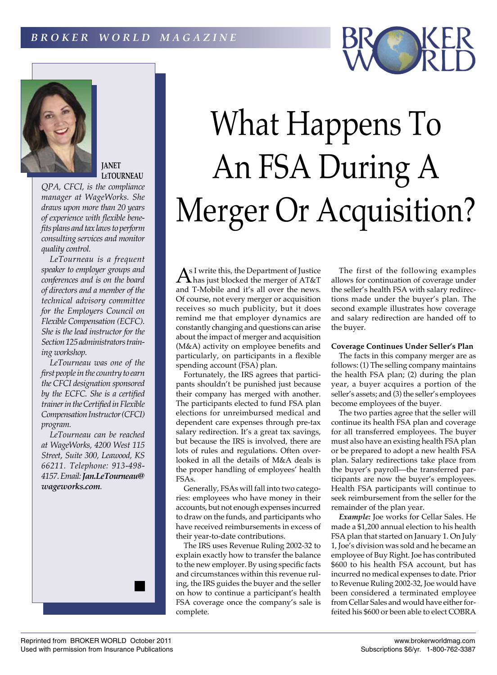



## **JANET LeTOURNEAU**

*QPA, CFCI, is the compliance manager at WageWorks. She draws upon more than 20 years of experience with flexible benefits plans and tax laws to perform consulting services and monitor quality control.*

*LeTourneau is a frequent speaker to employer groups and conferences and is on the board of directors and a member of the technical advisory committee for the Employers Council on Flexible Compensation (ECFC). She is the lead instructor for the Section 125 administrators training workshop.*

*LeTourneau was one of the first people in the country to earn the CFCI designation sponsored by the ECFC. She is a certified trainer in the Certified in Flexible Compensation Instructor (CFCI) program.*

*LeTourneau can be reached at WageWorks, 4200 West 115 Street, Suite 300, Leawood, KS 66211. Telephone: 913-498- 4157. Email: Jan.LeTourneau@ wageworks.com.*



As I write this, the Department of Justice<br>A has just blocked the merger of AT&T and T-Mobile and it's all over the news. Of course, not every merger or acquisition receives so much publicity, but it does remind me that employer dynamics are constantly changing and questions can arise about the impact of merger and acquisition (M&A) activity on employee benefits and particularly, on participants in a flexible spending account (FSA) plan.

Fortunately, the IRS agrees that participants shouldn't be punished just because their company has merged with another. The participants elected to fund FSA plan elections for unreimbursed medical and dependent care expenses through pre-tax salary redirection. It's a great tax savings, but because the IRS is involved, there are lots of rules and regulations. Often overlooked in all the details of M&A deals is the proper handling of employees' health FSAs.

Generally, FSAs will fall into two categories: employees who have money in their accounts, but not enough expenses incurred to draw on the funds, and participants who have received reimbursements in excess of their year-to-date contributions.

The IRS uses Revenue Ruling 2002-32 to explain exactly how to transfer the balance to the new employer. By using specific facts and circumstances within this revenue ruling, the IRS guides the buyer and the seller on how to continue a participant's health FSA coverage once the company's sale is complete.

The first of the following examples allows for continuation of coverage under the seller's health FSA with salary redirections made under the buyer's plan. The second example illustrates how coverage and salary redirection are handed off to the buyer.

## **Coverage Continues Under Seller's Plan**

The facts in this company merger are as follows: (1) The selling company maintains the health FSA plan; (2) during the plan year, a buyer acquires a portion of the seller's assets; and (3) the seller's employees become employees of the buyer.

The two parties agree that the seller will continue its health FSA plan and coverage for all transferred employees. The buyer must also have an existing health FSA plan or be prepared to adopt a new health FSA plan. Salary redirections take place from the buyer's payroll—the transferred participants are now the buyer's employees. Health FSA participants will continue to seek reimbursement from the seller for the remainder of the plan year.

*Example:* Joe works for Cellar Sales. He made a \$1,200 annual election to his health FSA plan that started on January 1. On July 1, Joe's division was sold and he became an employee of Buy Right. Joe has contributed \$600 to his health FSA account, but has incurred no medical expenses to date. Prior to Revenue Ruling 2002-32, Joe would have been considered a terminated employee from Cellar Sales and would have either forfeited his \$600 or been able to elect COBRA